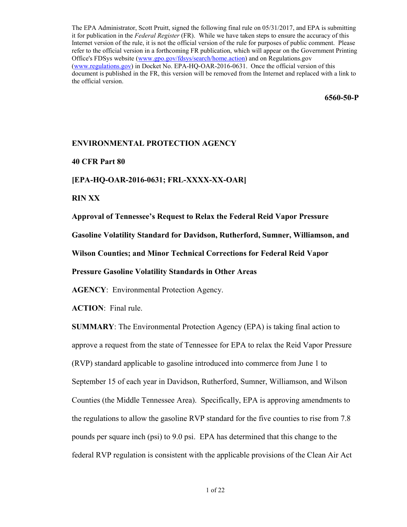The EPA Administrator, Scott Pruitt, signed the following final rule on 05/31/2017, and EPA is submitting it for publication in the *Federal Register* (FR). While we have taken steps to ensure the accuracy of this Internet version of the rule, it is not the official version of the rule for purposes of public comment. Please refer to the official version in a forthcoming FR publication, which will appear on the Government Printing Office's FDSys website [\(www.gpo.gov/fdsys/search/home.action\)](http://www.gpo.gov/fdsys/search/home.action) and on Regulations.gov [\(www.regulations.gov\)](http://www.regulations.gov/) in Docket No. EPA-HQ-OAR-2016-0631. Once the official version of this document is published in the FR, this version will be removed from the Internet and replaced with a link to the official version.

 **6560-50-P** 

#### **ENVIRONMENTAL PROTECTION AGENCY**

#### **40 CFR Part 80**

**[EPA-HQ-OAR-2016-0631; FRL-XXXX-XX-OAR]** 

**RIN XX**

**Approval of Tennessee's Request to Relax the Federal Reid Vapor Pressure** 

**Gasoline Volatility Standard for Davidson, Rutherford, Sumner, Williamson, and** 

**Wilson Counties; and Minor Technical Corrections for Federal Reid Vapor** 

**Pressure Gasoline Volatility Standards in Other Areas**

**AGENCY**: Environmental Protection Agency.

**ACTION**: Final rule.

**SUMMARY**: The Environmental Protection Agency (EPA) is taking final action to approve a request from the state of Tennessee for EPA to relax the Reid Vapor Pressure (RVP) standard applicable to gasoline introduced into commerce from June 1 to September 15 of each year in Davidson, Rutherford, Sumner, Williamson, and Wilson Counties (the Middle Tennessee Area). Specifically, EPA is approving amendments to the regulations to allow the gasoline RVP standard for the five counties to rise from 7.8 pounds per square inch (psi) to 9.0 psi. EPA has determined that this change to the federal RVP regulation is consistent with the applicable provisions of the Clean Air Act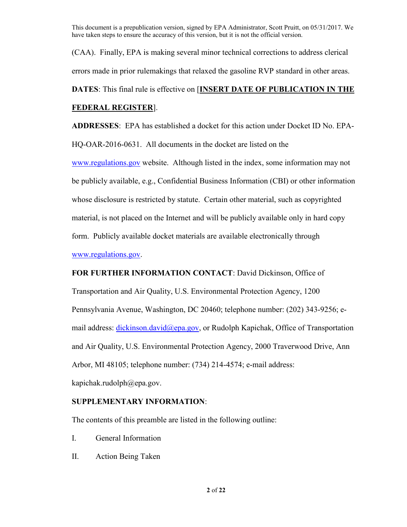(CAA). Finally, EPA is making several minor technical corrections to address clerical errors made in prior rulemakings that relaxed the gasoline RVP standard in other areas.

**DATES**: This final rule is effective on [**INSERT DATE OF PUBLICATION IN THE** 

## **FEDERAL REGISTER**].

**ADDRESSES**: EPA has established a docket for this action under Docket ID No. EPA-HQ-OAR-2016-0631. All documents in the docket are listed on the

[www.regulations.gov](http://www.regulations.gov/) website. Although listed in the index, some information may not be publicly available, e.g., Confidential Business Information (CBI) or other information whose disclosure is restricted by statute. Certain other material, such as copyrighted material, is not placed on the Internet and will be publicly available only in hard copy form. Publicly available docket materials are available electronically through

[www.regulations.gov.](http://www.regulations.gov/)

**FOR FURTHER INFORMATION CONTACT**: David Dickinson, Office of

Transportation and Air Quality, U.S. Environmental Protection Agency, 1200 Pennsylvania Avenue, Washington, DC 20460; telephone number: (202) 343-9256; email address: [dickinson.david@epa.gov,](mailto:dickinson.david@epa.gov) or Rudolph Kapichak, Office of Transportation and Air Quality, U.S. Environmental Protection Agency, 2000 Traverwood Drive, Ann Arbor, MI 48105; telephone number: (734) 214-4574; e-mail address: kapichak.rudolph@epa.gov.

## **SUPPLEMENTARY INFORMATION**:

The contents of this preamble are listed in the following outline:

- I. General Information
- II. Action Being Taken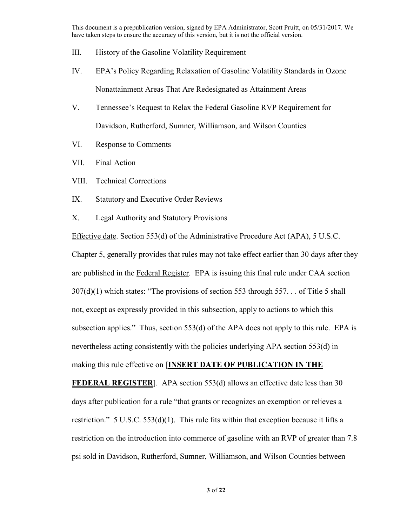- III. History of the Gasoline Volatility Requirement
- IV. EPA's Policy Regarding Relaxation of Gasoline Volatility Standards in Ozone Nonattainment Areas That Are Redesignated as Attainment Areas
- V. Tennessee's Request to Relax the Federal Gasoline RVP Requirement for Davidson, Rutherford, Sumner, Williamson, and Wilson Counties
- VI. Response to Comments
- VII. Final Action
- VIII. Technical Corrections
- IX. Statutory and Executive Order Reviews
- X. Legal Authority and Statutory Provisions

Effective date. Section 553(d) of the Administrative Procedure Act (APA), 5 U.S.C.

Chapter 5, generally provides that rules may not take effect earlier than 30 days after they are published in the Federal Register. EPA is issuing this final rule under CAA section 307(d)(1) which states: "The provisions of section 553 through 557. . . of Title 5 shall not, except as expressly provided in this subsection, apply to actions to which this subsection applies." Thus, section 553(d) of the APA does not apply to this rule. EPA is nevertheless acting consistently with the policies underlying APA section 553(d) in making this rule effective on [**INSERT DATE OF PUBLICATION IN THE** 

**FEDERAL REGISTER**]. APA section 553(d) allows an effective date less than 30 days after publication for a rule "that grants or recognizes an exemption or relieves a restriction." 5 U.S.C. 553(d)(1). This rule fits within that exception because it lifts a restriction on the introduction into commerce of gasoline with an RVP of greater than 7.8 psi sold in Davidson, Rutherford, Sumner, Williamson, and Wilson Counties between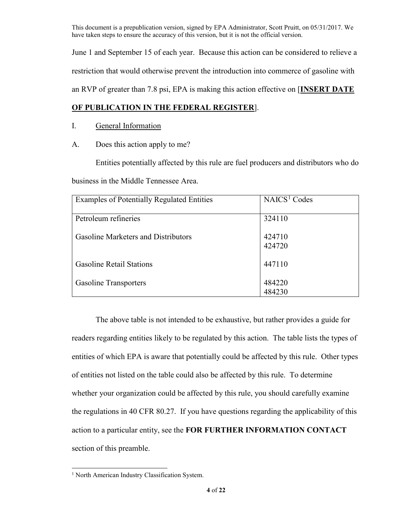June 1 and September 15 of each year. Because this action can be considered to relieve a restriction that would otherwise prevent the introduction into commerce of gasoline with an RVP of greater than 7.8 psi, EPA is making this action effective on [**INSERT DATE** 

## **OF PUBLICATION IN THE FEDERAL REGISTER**].

- I. General Information
- A. Does this action apply to me?

 Entities potentially affected by this rule are fuel producers and distributors who do business in the Middle Tennessee Area.

| Examples of Potentially Regulated Entities | NAICS <sup>1</sup> Codes |
|--------------------------------------------|--------------------------|
| Petroleum refineries                       | 324110                   |
| Gasoline Marketers and Distributors        | 424710<br>424720         |
| <b>Gasoline Retail Stations</b>            | 447110                   |
| <b>Gasoline Transporters</b>               | 484220<br>484230         |

The above table is not intended to be exhaustive, but rather provides a guide for readers regarding entities likely to be regulated by this action. The table lists the types of entities of which EPA is aware that potentially could be affected by this rule. Other types of entities not listed on the table could also be affected by this rule. To determine whether your organization could be affected by this rule, you should carefully examine the regulations in 40 CFR 80.27. If you have questions regarding the applicability of this action to a particular entity, see the **FOR FURTHER INFORMATION CONTACT** section of this preamble.

<span id="page-3-0"></span> $\overline{a}$ <sup>1</sup> North American Industry Classification System.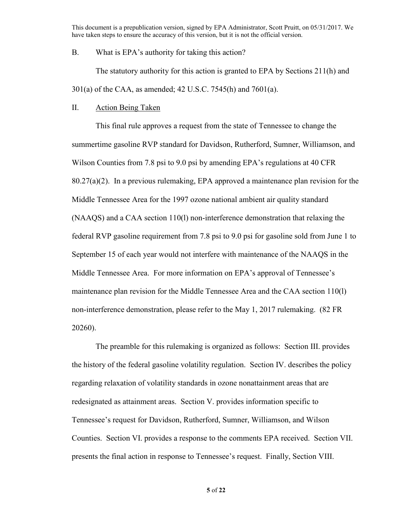#### B. What is EPA's authority for taking this action?

 The statutory authority for this action is granted to EPA by Sections 211(h) and 301(a) of the CAA, as amended; 42 U.S.C. 7545(h) and 7601(a).

#### II. Action Being Taken

 This final rule approves a request from the state of Tennessee to change the summertime gasoline RVP standard for Davidson, Rutherford, Sumner, Williamson, and Wilson Counties from 7.8 psi to 9.0 psi by amending EPA's regulations at 40 CFR 80.27(a)(2). In a previous rulemaking, EPA approved a maintenance plan revision for the Middle Tennessee Area for the 1997 ozone national ambient air quality standard (NAAQS) and a CAA section 110(l) non-interference demonstration that relaxing the federal RVP gasoline requirement from 7.8 psi to 9.0 psi for gasoline sold from June 1 to September 15 of each year would not interfere with maintenance of the NAAQS in the Middle Tennessee Area. For more information on EPA's approval of Tennessee's maintenance plan revision for the Middle Tennessee Area and the CAA section 110(l) non-interference demonstration, please refer to the May 1, 2017 rulemaking. (82 FR 20260).

 The preamble for this rulemaking is organized as follows: Section III. provides the history of the federal gasoline volatility regulation. Section IV. describes the policy regarding relaxation of volatility standards in ozone nonattainment areas that are redesignated as attainment areas. Section V. provides information specific to Tennessee's request for Davidson, Rutherford, Sumner, Williamson, and Wilson Counties. Section VI. provides a response to the comments EPA received. Section VII. presents the final action in response to Tennessee's request. Finally, Section VIII.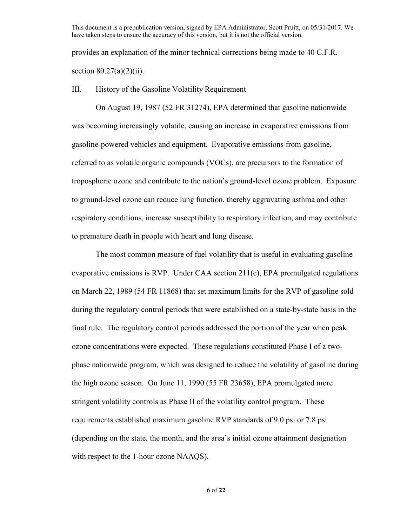provides an explanation of the minor technical corrections being made to 40 C.F.R. section  $80.27(a)(2)(ii)$ .

#### III. History of the Gasoline Volatility Requirement

On August 19, 1987 (52 FR 31274), EPA determined that gasoline nationwide was becoming increasingly volatile, causing an increase in evaporative emissions from gasoline-powered vehicles and equipment. Evaporative emissions from gasoline, referred to as volatile organic compounds (VOCs), are precursors to the formation of tropospheric ozone and contribute to the nation's ground-level ozone problem. Exposure to ground-level ozone can reduce lung function, thereby aggravating asthma and other respiratory conditions, increase susceptibility to respiratory infection, and may contribute to premature death in people with heart and lung disease.

The most common measure of fuel volatility that is useful in evaluating gasoline evaporative emissions is RVP. Under CAA section 211(c), EPA promulgated regulations on March 22, 1989 (54 FR 11868) that set maximum limits for the RVP of gasoline sold during the regulatory control periods that were established on a state-by-state basis in the final rule. The regulatory control periods addressed the portion of the year when peak ozone concentrations were expected. These regulations constituted Phase I of a twophase nationwide program, which was designed to reduce the volatility of gasoline during the high ozone season. On June 11, 1990 (55 FR 23658), EPA promulgated more stringent volatility controls as Phase II of the volatility control program. These requirements established maximum gasoline RVP standards of 9.0 psi or 7.8 psi (depending on the state, the month, and the area's initial ozone attainment designation with respect to the 1-hour ozone NAAQS).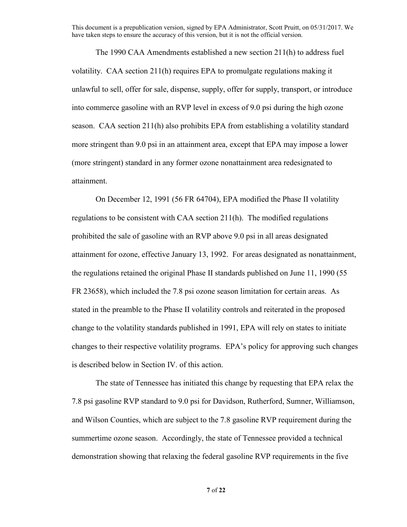The 1990 CAA Amendments established a new section 211(h) to address fuel volatility. CAA section 211(h) requires EPA to promulgate regulations making it unlawful to sell, offer for sale, dispense, supply, offer for supply, transport, or introduce into commerce gasoline with an RVP level in excess of 9.0 psi during the high ozone season. CAA section 211(h) also prohibits EPA from establishing a volatility standard more stringent than 9.0 psi in an attainment area, except that EPA may impose a lower (more stringent) standard in any former ozone nonattainment area redesignated to attainment.

 On December 12, 1991 (56 FR 64704), EPA modified the Phase II volatility regulations to be consistent with CAA section 211(h). The modified regulations prohibited the sale of gasoline with an RVP above 9.0 psi in all areas designated attainment for ozone, effective January 13, 1992. For areas designated as nonattainment, the regulations retained the original Phase II standards published on June 11, 1990 (55 FR 23658), which included the 7.8 psi ozone season limitation for certain areas. As stated in the preamble to the Phase II volatility controls and reiterated in the proposed change to the volatility standards published in 1991, EPA will rely on states to initiate changes to their respective volatility programs. EPA's policy for approving such changes is described below in Section IV. of this action.

The state of Tennessee has initiated this change by requesting that EPA relax the 7.8 psi gasoline RVP standard to 9.0 psi for Davidson, Rutherford, Sumner, Williamson, and Wilson Counties, which are subject to the 7.8 gasoline RVP requirement during the summertime ozone season. Accordingly, the state of Tennessee provided a technical demonstration showing that relaxing the federal gasoline RVP requirements in the five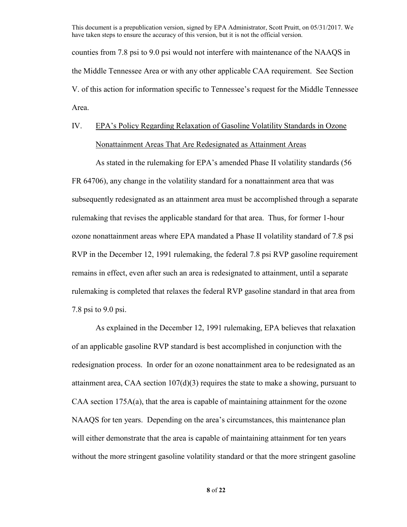counties from 7.8 psi to 9.0 psi would not interfere with maintenance of the NAAQS in the Middle Tennessee Area or with any other applicable CAA requirement. See Section V. of this action for information specific to Tennessee's request for the Middle Tennessee Area.

## IV. EPA's Policy Regarding Relaxation of Gasoline Volatility Standards in Ozone Nonattainment Areas That Are Redesignated as Attainment Areas

As stated in the rulemaking for EPA's amended Phase II volatility standards (56 FR 64706), any change in the volatility standard for a nonattainment area that was subsequently redesignated as an attainment area must be accomplished through a separate rulemaking that revises the applicable standard for that area. Thus, for former 1-hour ozone nonattainment areas where EPA mandated a Phase II volatility standard of 7.8 psi RVP in the December 12, 1991 rulemaking, the federal 7.8 psi RVP gasoline requirement remains in effect, even after such an area is redesignated to attainment, until a separate rulemaking is completed that relaxes the federal RVP gasoline standard in that area from 7.8 psi to 9.0 psi.

 As explained in the December 12, 1991 rulemaking, EPA believes that relaxation of an applicable gasoline RVP standard is best accomplished in conjunction with the redesignation process. In order for an ozone nonattainment area to be redesignated as an attainment area, CAA section  $107(d)(3)$  requires the state to make a showing, pursuant to CAA section 175A(a), that the area is capable of maintaining attainment for the ozone NAAQS for ten years. Depending on the area's circumstances, this maintenance plan will either demonstrate that the area is capable of maintaining attainment for ten years without the more stringent gasoline volatility standard or that the more stringent gasoline

**8** of **22**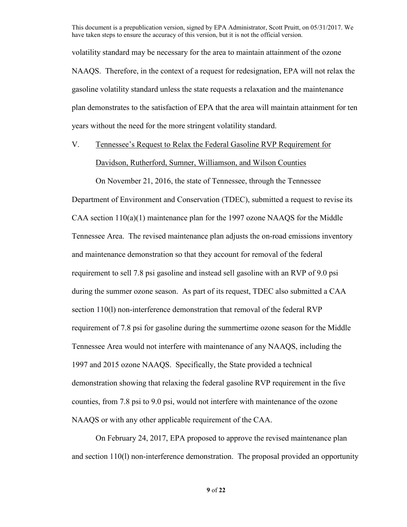volatility standard may be necessary for the area to maintain attainment of the ozone NAAQS. Therefore, in the context of a request for redesignation, EPA will not relax the gasoline volatility standard unless the state requests a relaxation and the maintenance plan demonstrates to the satisfaction of EPA that the area will maintain attainment for ten years without the need for the more stringent volatility standard.

# V. Tennessee's Request to Relax the Federal Gasoline RVP Requirement for Davidson, Rutherford, Sumner, Williamson, and Wilson Counties

On November 21, 2016, the state of Tennessee, through the Tennessee Department of Environment and Conservation (TDEC), submitted a request to revise its CAA section  $110(a)(1)$  maintenance plan for the 1997 ozone NAAQS for the Middle Tennessee Area. The revised maintenance plan adjusts the on-road emissions inventory and maintenance demonstration so that they account for removal of the federal requirement to sell 7.8 psi gasoline and instead sell gasoline with an RVP of 9.0 psi during the summer ozone season. As part of its request, TDEC also submitted a CAA section 110(l) non-interference demonstration that removal of the federal RVP requirement of 7.8 psi for gasoline during the summertime ozone season for the Middle Tennessee Area would not interfere with maintenance of any NAAQS, including the 1997 and 2015 ozone NAAQS. Specifically, the State provided a technical demonstration showing that relaxing the federal gasoline RVP requirement in the five counties, from 7.8 psi to 9.0 psi, would not interfere with maintenance of the ozone NAAQS or with any other applicable requirement of the CAA.

 On February 24, 2017, EPA proposed to approve the revised maintenance plan and section 110(l) non-interference demonstration. The proposal provided an opportunity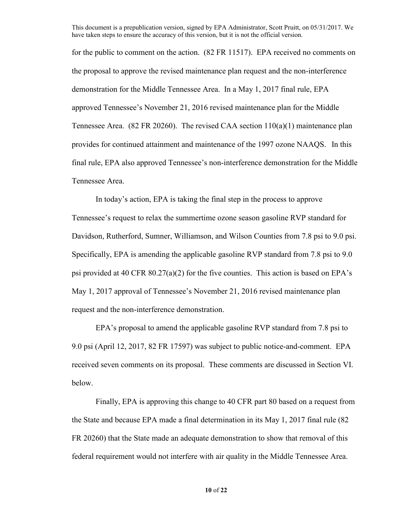for the public to comment on the action. (82 FR 11517). EPA received no comments on the proposal to approve the revised maintenance plan request and the non-interference demonstration for the Middle Tennessee Area. In a May 1, 2017 final rule, EPA approved Tennessee's November 21, 2016 revised maintenance plan for the Middle Tennessee Area. (82 FR 20260). The revised CAA section 110(a)(1) maintenance plan provides for continued attainment and maintenance of the 1997 ozone NAAQS. In this final rule, EPA also approved Tennessee's non-interference demonstration for the Middle Tennessee Area.

In today's action, EPA is taking the final step in the process to approve Tennessee's request to relax the summertime ozone season gasoline RVP standard for Davidson, Rutherford, Sumner, Williamson, and Wilson Counties from 7.8 psi to 9.0 psi. Specifically, EPA is amending the applicable gasoline RVP standard from 7.8 psi to 9.0 psi provided at 40 CFR  $80.27(a)(2)$  for the five counties. This action is based on EPA's May 1, 2017 approval of Tennessee's November 21, 2016 revised maintenance plan request and the non-interference demonstration.

 EPA's proposal to amend the applicable gasoline RVP standard from 7.8 psi to 9.0 psi (April 12, 2017, 82 FR 17597) was subject to public notice-and-comment. EPA received seven comments on its proposal. These comments are discussed in Section VI. below.

Finally, EPA is approving this change to 40 CFR part 80 based on a request from the State and because EPA made a final determination in its May 1, 2017 final rule (82 FR 20260) that the State made an adequate demonstration to show that removal of this federal requirement would not interfere with air quality in the Middle Tennessee Area.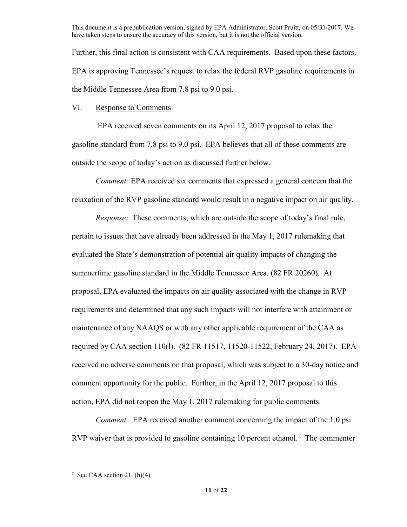Further, this final action is consistent with CAA requirements. Based upon these factors, EPA is approving Tennessee's request to relax the federal RVP gasoline requirements in the Middle Tennessee Area from 7.8 psi to 9.0 psi.

#### VI. Response to Comments

 EPA received seven comments on its April 12, 2017 proposal to relax the gasoline standard from 7.8 psi to 9.0 psi. EPA believes that all of these comments are outside the scope of today's action as discussed further below.

*Comment:* EPA received six comments that expressed a general concern that the relaxation of the RVP gasoline standard would result in a negative impact on air quality.

*Response:* These comments, which are outside the scope of today's final rule, pertain to issues that have already been addressed in the May 1, 2017 rulemaking that evaluated the State's demonstration of potential air quality impacts of changing the summertime gasoline standard in the Middle Tennessee Area. (82 FR 20260). At proposal, EPA evaluated the impacts on air quality associated with the change in RVP requirements and determined that any such impacts will not interfere with attainment or maintenance of any NAAQS or with any other applicable requirement of the CAA as required by CAA section 110(l). (82 FR 11517, 11520-11522, February 24, 2017). EPA received no adverse comments on that proposal, which was subject to a 30-day notice and comment opportunity for the public. Further, in the April 12, 2017 proposal to this action, EPA did not reopen the May 1, 2017 rulemaking for public comments.

*Comment:* EPA received another comment concerning the impact of the 1.0 psi RVP waiver that is provided to gasoline containing 10 percent ethanol.<sup>[2](#page-10-0)</sup> The commenter

 $\overline{a}$ 

<span id="page-10-0"></span><sup>&</sup>lt;sup>2</sup> See CAA section  $211(h)(4)$ .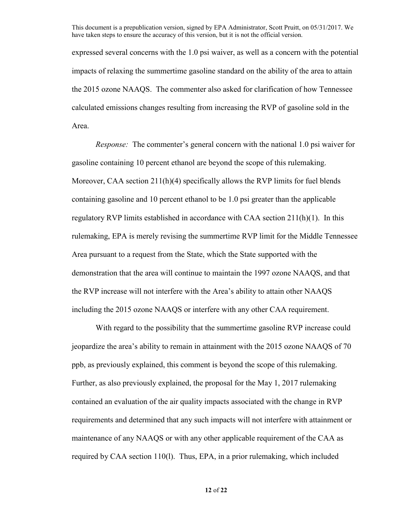expressed several concerns with the 1.0 psi waiver, as well as a concern with the potential impacts of relaxing the summertime gasoline standard on the ability of the area to attain the 2015 ozone NAAQS. The commenter also asked for clarification of how Tennessee calculated emissions changes resulting from increasing the RVP of gasoline sold in the Area.

*Response:* The commenter's general concern with the national 1.0 psi waiver for gasoline containing 10 percent ethanol are beyond the scope of this rulemaking. Moreover, CAA section  $211(h)(4)$  specifically allows the RVP limits for fuel blends containing gasoline and 10 percent ethanol to be 1.0 psi greater than the applicable regulatory RVP limits established in accordance with CAA section 211(h)(1). In this rulemaking, EPA is merely revising the summertime RVP limit for the Middle Tennessee Area pursuant to a request from the State, which the State supported with the demonstration that the area will continue to maintain the 1997 ozone NAAQS, and that the RVP increase will not interfere with the Area's ability to attain other NAAQS including the 2015 ozone NAAQS or interfere with any other CAA requirement.

With regard to the possibility that the summertime gasoline RVP increase could jeopardize the area's ability to remain in attainment with the 2015 ozone NAAQS of 70 ppb, as previously explained, this comment is beyond the scope of this rulemaking. Further, as also previously explained, the proposal for the May 1, 2017 rulemaking contained an evaluation of the air quality impacts associated with the change in RVP requirements and determined that any such impacts will not interfere with attainment or maintenance of any NAAQS or with any other applicable requirement of the CAA as required by CAA section 110(l). Thus, EPA, in a prior rulemaking, which included

**12** of **22**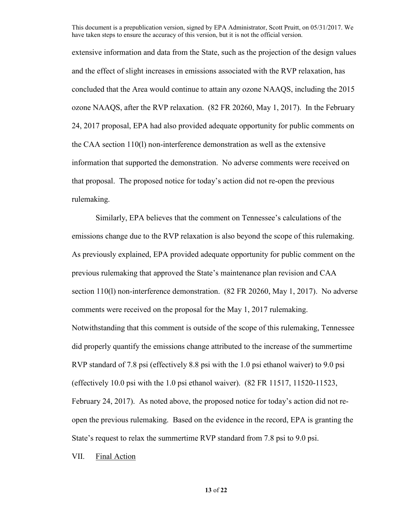extensive information and data from the State, such as the projection of the design values and the effect of slight increases in emissions associated with the RVP relaxation, has concluded that the Area would continue to attain any ozone NAAQS, including the 2015 ozone NAAQS, after the RVP relaxation. (82 FR 20260, May 1, 2017). In the February 24, 2017 proposal, EPA had also provided adequate opportunity for public comments on the CAA section 110(l) non-interference demonstration as well as the extensive information that supported the demonstration. No adverse comments were received on that proposal. The proposed notice for today's action did not re-open the previous rulemaking.

Similarly, EPA believes that the comment on Tennessee's calculations of the emissions change due to the RVP relaxation is also beyond the scope of this rulemaking. As previously explained, EPA provided adequate opportunity for public comment on the previous rulemaking that approved the State's maintenance plan revision and CAA section 110(l) non-interference demonstration. (82 FR 20260, May 1, 2017). No adverse comments were received on the proposal for the May 1, 2017 rulemaking. Notwithstanding that this comment is outside of the scope of this rulemaking, Tennessee did properly quantify the emissions change attributed to the increase of the summertime RVP standard of 7.8 psi (effectively 8.8 psi with the 1.0 psi ethanol waiver) to 9.0 psi (effectively 10.0 psi with the 1.0 psi ethanol waiver).  $(82 FR 11517, 11520-11523,$ February 24, 2017). As noted above, the proposed notice for today's action did not reopen the previous rulemaking. Based on the evidence in the record, EPA is granting the State's request to relax the summertime RVP standard from 7.8 psi to 9.0 psi.

VII. Final Action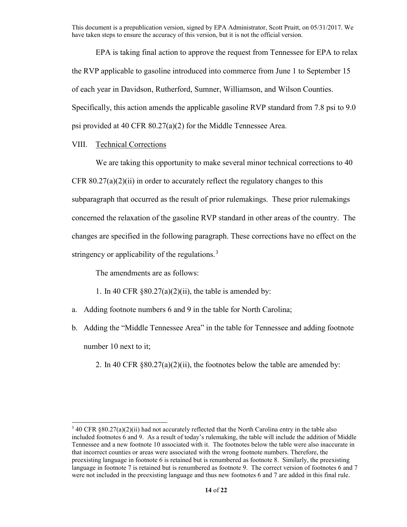EPA is taking final action to approve the request from Tennessee for EPA to relax the RVP applicable to gasoline introduced into commerce from June 1 to September 15 of each year in Davidson, Rutherford, Sumner, Williamson, and Wilson Counties. Specifically, this action amends the applicable gasoline RVP standard from 7.8 psi to 9.0 psi provided at 40 CFR 80.27(a)(2) for the Middle Tennessee Area.

#### VIII. Technical Corrections

 $\overline{a}$ 

 We are taking this opportunity to make several minor technical corrections to 40 CFR  $80.27(a)(2)(ii)$  in order to accurately reflect the regulatory changes to this subparagraph that occurred as the result of prior rulemakings. These prior rulemakings concerned the relaxation of the gasoline RVP standard in other areas of the country. The changes are specified in the following paragraph. These corrections have no effect on the stringency or applicability of the regulations.<sup>[3](#page-13-0)</sup>

The amendments are as follows:

1. In 40 CFR  $\S 80.27(a)(2)(ii)$ , the table is amended by:

- a. Adding footnote numbers 6 and 9 in the table for North Carolina;
- b. Adding the "Middle Tennessee Area" in the table for Tennessee and adding footnote number 10 next to it;
	- 2. In 40 CFR  $\S 80.27(a)(2)(ii)$ , the footnotes below the table are amended by:

<span id="page-13-0"></span><sup>3</sup> 40 CFR §80.27(a)(2)(ii) had not accurately reflected that the North Carolina entry in the table also included footnotes 6 and 9. As a result of today's rulemaking, the table will include the addition of Middle Tennessee and a new footnote 10 associated with it. The footnotes below the table were also inaccurate in that incorrect counties or areas were associated with the wrong footnote numbers. Therefore, the preexisting language in footnote 6 is retained but is renumbered as footnote 8. Similarly, the preexisting language in footnote 7 is retained but is renumbered as footnote 9. The correct version of footnotes 6 and 7 were not included in the preexisting language and thus new footnotes 6 and 7 are added in this final rule.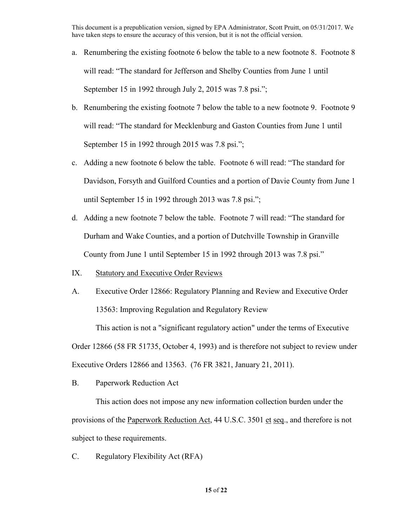- a. Renumbering the existing footnote 6 below the table to a new footnote 8. Footnote 8 will read: "The standard for Jefferson and Shelby Counties from June 1 until September 15 in 1992 through July 2, 2015 was 7.8 psi.";
- b. Renumbering the existing footnote 7 below the table to a new footnote 9. Footnote 9 will read: "The standard for Mecklenburg and Gaston Counties from June 1 until September 15 in 1992 through 2015 was 7.8 psi.";
- c. Adding a new footnote 6 below the table. Footnote 6 will read: "The standard for Davidson, Forsyth and Guilford Counties and a portion of Davie County from June 1 until September 15 in 1992 through 2013 was 7.8 psi.";
- d. Adding a new footnote 7 below the table. Footnote 7 will read: "The standard for Durham and Wake Counties, and a portion of Dutchville Township in Granville County from June 1 until September 15 in 1992 through 2013 was 7.8 psi."
- IX. Statutory and Executive Order Reviews
- A. Executive Order 12866: Regulatory Planning and Review and Executive Order 13563: Improving Regulation and Regulatory Review

This action is not a "significant regulatory action" under the terms of Executive Order 12866 (58 FR 51735, October 4, 1993) and is therefore not subject to review under Executive Orders 12866 and 13563. (76 FR 3821, January 21, 2011).

B. Paperwork Reduction Act

 This action does not impose any new information collection burden under the provisions of the Paperwork Reduction Act, 44 U.S.C. 3501 et seq., and therefore is not subject to these requirements.

C. Regulatory Flexibility Act (RFA)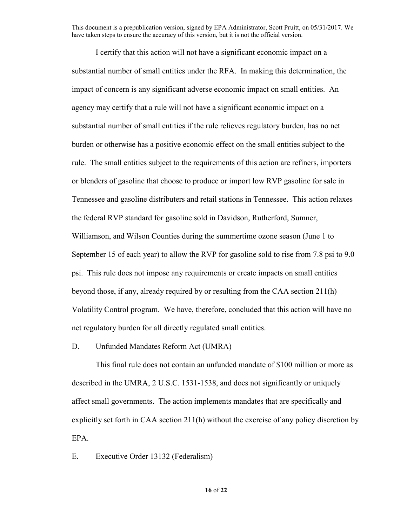I certify that this action will not have a significant economic impact on a substantial number of small entities under the RFA. In making this determination, the impact of concern is any significant adverse economic impact on small entities. An agency may certify that a rule will not have a significant economic impact on a substantial number of small entities if the rule relieves regulatory burden, has no net burden or otherwise has a positive economic effect on the small entities subject to the rule. The small entities subject to the requirements of this action are refiners, importers or blenders of gasoline that choose to produce or import low RVP gasoline for sale in Tennessee and gasoline distributers and retail stations in Tennessee. This action relaxes the federal RVP standard for gasoline sold in Davidson, Rutherford, Sumner, Williamson, and Wilson Counties during the summertime ozone season (June 1 to September 15 of each year) to allow the RVP for gasoline sold to rise from 7.8 psi to 9.0 psi. This rule does not impose any requirements or create impacts on small entities beyond those, if any, already required by or resulting from the CAA section 211(h) Volatility Control program. We have, therefore, concluded that this action will have no net regulatory burden for all directly regulated small entities.

#### D. Unfunded Mandates Reform Act (UMRA)

This final rule does not contain an unfunded mandate of \$100 million or more as described in the UMRA, 2 U.S.C. 1531-1538, and does not significantly or uniquely affect small governments. The action implements mandates that are specifically and explicitly set forth in CAA section 211(h) without the exercise of any policy discretion by EPA.

E. Executive Order 13132 (Federalism)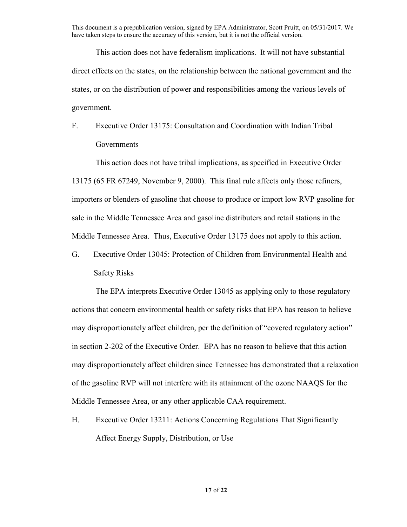This action does not have federalism implications. It will not have substantial direct effects on the states, on the relationship between the national government and the states, or on the distribution of power and responsibilities among the various levels of government.

F. Executive Order 13175: Consultation and Coordination with Indian Tribal **Governments** 

 This action does not have tribal implications, as specified in Executive Order 13175 (65 FR 67249, November 9, 2000). This final rule affects only those refiners, importers or blenders of gasoline that choose to produce or import low RVP gasoline for sale in the Middle Tennessee Area and gasoline distributers and retail stations in the Middle Tennessee Area. Thus, Executive Order 13175 does not apply to this action.

G. Executive Order 13045: Protection of Children from Environmental Health and Safety Risks

The EPA interprets Executive Order 13045 as applying only to those regulatory actions that concern environmental health or safety risks that EPA has reason to believe may disproportionately affect children, per the definition of "covered regulatory action" in section 2-202 of the Executive Order. EPA has no reason to believe that this action may disproportionately affect children since Tennessee has demonstrated that a relaxation of the gasoline RVP will not interfere with its attainment of the ozone NAAQS for the Middle Tennessee Area, or any other applicable CAA requirement.

H. Executive Order 13211: Actions Concerning Regulations That Significantly Affect Energy Supply, Distribution, or Use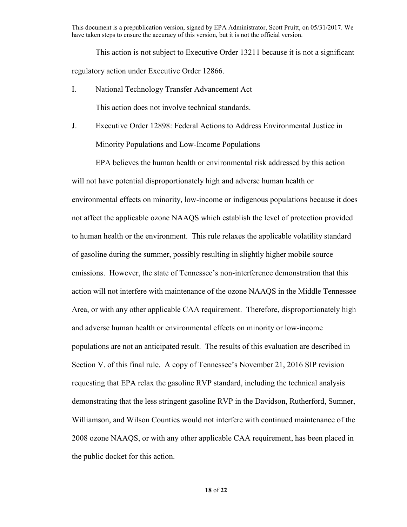This action is not subject to Executive Order 13211 because it is not a significant regulatory action under Executive Order 12866.

- I. National Technology Transfer Advancement Act This action does not involve technical standards.
- J. Executive Order 12898: Federal Actions to Address Environmental Justice in Minority Populations and Low-Income Populations

EPA believes the human health or environmental risk addressed by this action will not have potential disproportionately high and adverse human health or environmental effects on minority, low-income or indigenous populations because it does not affect the applicable ozone NAAQS which establish the level of protection provided to human health or the environment. This rule relaxes the applicable volatility standard of gasoline during the summer, possibly resulting in slightly higher mobile source emissions. However, the state of Tennessee's non-interference demonstration that this action will not interfere with maintenance of the ozone NAAQS in the Middle Tennessee Area, or with any other applicable CAA requirement. Therefore, disproportionately high and adverse human health or environmental effects on minority or low-income populations are not an anticipated result. The results of this evaluation are described in Section V. of this final rule. A copy of Tennessee's November 21, 2016 SIP revision requesting that EPA relax the gasoline RVP standard, including the technical analysis demonstrating that the less stringent gasoline RVP in the Davidson, Rutherford, Sumner, Williamson, and Wilson Counties would not interfere with continued maintenance of the 2008 ozone NAAQS, or with any other applicable CAA requirement, has been placed in the public docket for this action.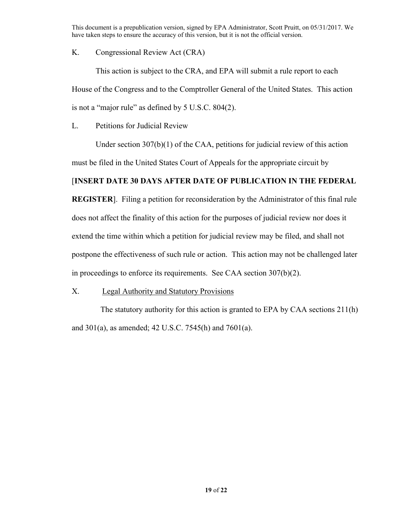## K. Congressional Review Act (CRA)

This action is subject to the CRA, and EPA will submit a rule report to each House of the Congress and to the Comptroller General of the United States. This action is not a "major rule" as defined by 5 U.S.C. 804(2).

L. Petitions for Judicial Review

 Under section 307(b)(1) of the CAA, petitions for judicial review of this action must be filed in the United States Court of Appeals for the appropriate circuit by

## [**INSERT DATE 30 DAYS AFTER DATE OF PUBLICATION IN THE FEDERAL**

**REGISTER**]. Filing a petition for reconsideration by the Administrator of this final rule does not affect the finality of this action for the purposes of judicial review nor does it extend the time within which a petition for judicial review may be filed, and shall not postpone the effectiveness of such rule or action. This action may not be challenged later in proceedings to enforce its requirements. See CAA section 307(b)(2).

## X. Legal Authority and Statutory Provisions

The statutory authority for this action is granted to EPA by CAA sections 211(h) and 301(a), as amended; 42 U.S.C. 7545(h) and 7601(a).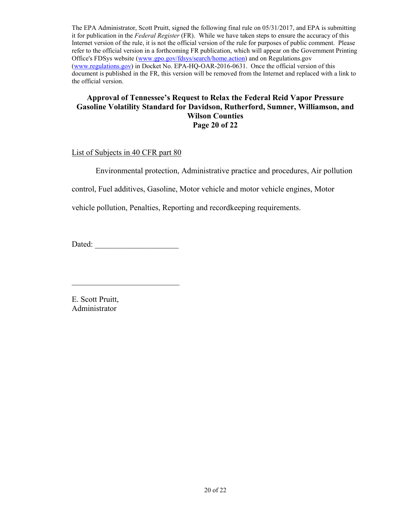The EPA Administrator, Scott Pruitt, signed the following final rule on 05/31/2017, and EPA is submitting it for publication in the *Federal Register* (FR). While we have taken steps to ensure the accuracy of this Internet version of the rule, it is not the official version of the rule for purposes of public comment. Please refer to the official version in a forthcoming FR publication, which will appear on the Government Printing Office's FDSys website [\(www.gpo.gov/fdsys/search/home.action\)](http://www.gpo.gov/fdsys/search/home.action) and on Regulations.gov [\(www.regulations.gov\)](http://www.regulations.gov/) in Docket No. EPA-HQ-OAR-2016-0631. Once the official version of this document is published in the FR, this version will be removed from the Internet and replaced with a link to the official version.

## **Approval of Tennessee's Request to Relax the Federal Reid Vapor Pressure Gasoline Volatility Standard for Davidson, Rutherford, Sumner, Williamson, and Wilson Counties Page 20 of 22**

## List of Subjects in 40 CFR part 80

Environmental protection, Administrative practice and procedures, Air pollution

control, Fuel additives, Gasoline, Motor vehicle and motor vehicle engines, Motor

vehicle pollution, Penalties, Reporting and recordkeeping requirements.

Dated: \_\_\_\_\_\_\_\_\_\_\_\_\_\_\_\_\_\_\_\_\_

\_\_\_\_\_\_\_\_\_\_\_\_\_\_\_\_\_\_\_\_\_\_\_\_\_\_\_

E. Scott Pruitt, Administrator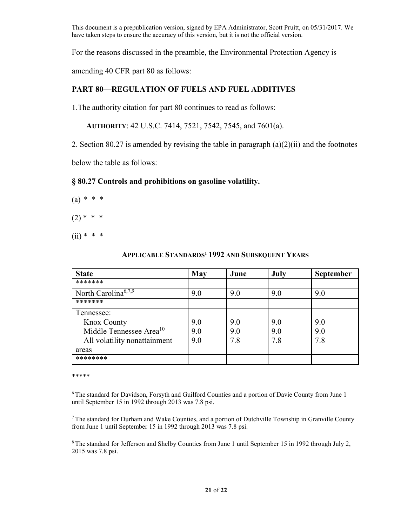For the reasons discussed in the preamble, the Environmental Protection Agency is

amending 40 CFR part 80 as follows:

## **PART 80—REGULATION OF FUELS AND FUEL ADDITIVES**

1.The authority citation for part 80 continues to read as follows:

**AUTHORITY**: 42 U.S.C. 7414, 7521, 7542, 7545, and 7601(a).

2. Section 80.27 is amended by revising the table in paragraph  $(a)(2)(ii)$  and the footnotes

below the table as follows:

## **§ 80.27 Controls and prohibitions on gasoline volatility.**

- $(a) * * * *$
- $(2)$  \* \* \*
- $(ii) * * * *$

| <b>State</b>                        | May | June | July | September |
|-------------------------------------|-----|------|------|-----------|
| *******                             |     |      |      |           |
| North Carolina <sup>6,7,9</sup>     | 9.0 | 9.0  | 9.0  | 9.0       |
| *******                             |     |      |      |           |
| Tennessee:                          |     |      |      |           |
| <b>Knox County</b>                  | 9.0 | 9.0  | 9.0  | 9.0       |
| Middle Tennessee Area <sup>10</sup> | 9.0 | 9.0  | 9.0  | 9.0       |
| All volatility nonattainment        | 9.0 | 7.8  | 7.8  | 7.8       |
| areas                               |     |      |      |           |
| ********                            |     |      |      |           |

#### **APPLICABLE STANDARDS1 1992 AND SUBSEQUENT YEARS**

\*\*\*\*\*

6 The standard for Davidson, Forsyth and Guilford Counties and a portion of Davie County from June 1 until September 15 in 1992 through 2013 was 7.8 psi.

7 The standard for Durham and Wake Counties, and a portion of Dutchville Township in Granville County from June 1 until September 15 in 1992 through 2013 was 7.8 psi.

8 The standard for Jefferson and Shelby Counties from June 1 until September 15 in 1992 through July 2, 2015 was 7.8 psi.